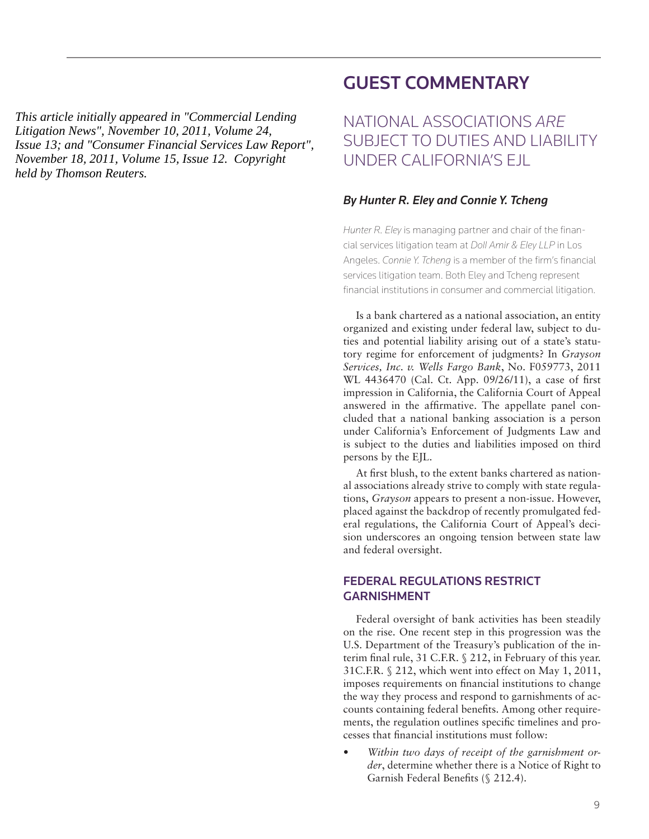This article initially appeared in "Commercial Lending" *Homeowner counseling supposition* commercial Echanography and the the sense of the Litigation News'', November 10, 2011, Volume 24, *Folgaerch Policy Seeking is 1974-1994, Fermin 20,*<br>Issue 13; and "Consumer Financial Services Law Report", *ment our, and Sommand Formation for the Early Department*, *Purchase Homeon Reuters.* 

# GUEST COMMENTARY

National associations *are* subject to duties and liability under California's EJL

## *By Hunter R. Eley and Connie Y. Tcheng*

*Hunter R. Eley* is managing partner and chair of the financial services litigation team at *Doll Amir & Eley LLP* in Los Angeles. *Connie Y. Tcheng* is a member of the firm's financial services litigation team. Both Eley and Tcheng represent financial institutions in consumer and commercial litigation.

Is a bank chartered as a national association, an entity organized and existing under federal law, subject to duties and potential liability arising out of a state's statutory regime for enforcement of judgments? In *Grayson Services, Inc. v. Wells Fargo Bank*, No. F059773, 2011 WL 4436470 (Cal. Ct. App. 09/26/11), a case of first impression in California, the California Court of Appeal answered in the affirmative. The appellate panel concluded that a national banking association is a person under California's Enforcement of Judgments Law and is subject to the duties and liabilities imposed on third persons by the EJL. This carrier is frameword Care Connective Landing<br>
This carrier is connected to the connective of the connective of the connective of the connective of the connective of the connective of the connective of the connective o

At first blush, to the extent banks chartered as national associations already strive to comply with state regulations, *Grayson* appears to present a non-issue. However, placed against the backdrop of recently promulgated federal regulations, the California Court of Appeal's decision underscores an ongoing tension between state law and federal oversight.

## Federal regulations restrict **GARNISHMENT**

Federal oversight of bank activities has been steadily on the rise. One recent step in this progression was the U.S. Department of the Treasury's publication of the interim final rule, 31 C.F.R. § 212, in February of this year. 31C.F.R. § 212, which went into effect on May 1, 2011, imposes requirements on financial institutions to change the way they process and respond to garnishments of accounts containing federal benefits. Among other requirements, the regulation outlines specific timelines and processes that financial institutions must follow:

Within two days of receipt of the garnishment or*der*, determine whether there is a Notice of Right to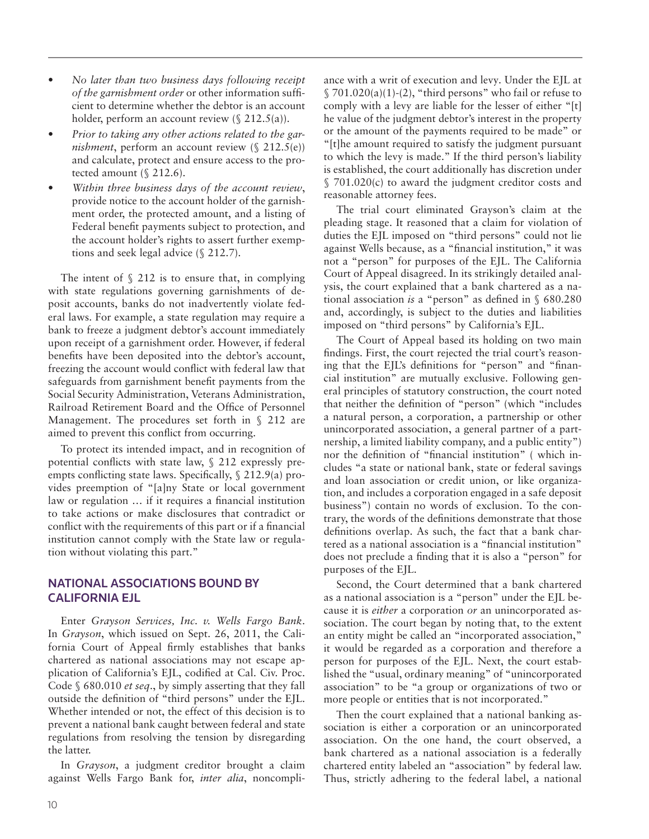- • *No later than two business days following receipt of the garnishment order* or other information sufficient to determine whether the debtor is an account holder, perform an account review  $(\S 212.5(a))$ .
- Prior to taking any other actions related to the gar*nishment*, perform an account review (§ 212.5(e)) and calculate, protect and ensure access to the protected amount (§ 212.6).
- Within three business days of the account review, provide notice to the account holder of the garnishment order, the protected amount, and a listing of Federal benefit payments subject to protection, and the account holder's rights to assert further exemptions and seek legal advice (§ 212.7).

The intent of  $\S$  212 is to ensure that, in complying with state regulations governing garnishments of deposit accounts, banks do not inadvertently violate federal laws. For example, a state regulation may require a bank to freeze a judgment debtor's account immediately upon receipt of a garnishment order. However, if federal benefits have been deposited into the debtor's account, freezing the account would conflict with federal law that safeguards from garnishment benefit payments from the Social Security Administration, Veterans Administration, Railroad Retirement Board and the Office of Personnel Management. The procedures set forth in § 212 are aimed to prevent this conflict from occurring.

To protect its intended impact, and in recognition of potential conflicts with state law, § 212 expressly preempts conflicting state laws. Specifically, § 212.9(a) provides preemption of "[a]ny State or local government law or regulation … if it requires a financial institution to take actions or make disclosures that contradict or conflict with the requirements of this part or if a financial institution cannot comply with the State law or regulation without violating this part."

## National associations bound by California EJL

Enter *Grayson Services, Inc. v. Wells Fargo Bank*. In *Grayson*, which issued on Sept. 26, 2011, the California Court of Appeal firmly establishes that banks chartered as national associations may not escape application of California's EJL, codified at Cal. Civ. Proc. Code § 680.010 *et seq*., by simply asserting that they fall outside the definition of "third persons" under the EJL. Whether intended or not, the effect of this decision is to prevent a national bank caught between federal and state regulations from resolving the tension by disregarding the latter.

In *Grayson*, a judgment creditor brought a claim against Wells Fargo Bank for, *inter alia*, noncompli-

ance with a writ of execution and levy*.* Under the EJL at  $\S 701.020(a)(1)-(2)$ , "third persons" who fail or refuse to comply with a levy are liable for the lesser of either "[t] he value of the judgment debtor's interest in the property or the amount of the payments required to be made" or "[t]he amount required to satisfy the judgment pursuant to which the levy is made." If the third person's liability is established, the court additionally has discretion under § 701.020(c) to award the judgment creditor costs and reasonable attorney fees.

The trial court eliminated Grayson's claim at the pleading stage. It reasoned that a claim for violation of duties the EJL imposed on "third persons" could not lie against Wells because, as a "financial institution," it was not a "person" for purposes of the EJL. The California Court of Appeal disagreed. In its strikingly detailed analysis, the court explained that a bank chartered as a national association *is* a "person" as defined in § 680.280 and, accordingly, is subject to the duties and liabilities imposed on "third persons" by California's EJL.

The Court of Appeal based its holding on two main findings. First, the court rejected the trial court's reasoning that the EJL's definitions for "person" and "financial institution" are mutually exclusive. Following general principles of statutory construction, the court noted that neither the definition of "person" (which "includes a natural person, a corporation, a partnership or other unincorporated association, a general partner of a partnership, a limited liability company, and a public entity") nor the definition of "financial institution" ( which includes "a state or national bank, state or federal savings and loan association or credit union, or like organization, and includes a corporation engaged in a safe deposit business") contain no words of exclusion. To the contrary, the words of the definitions demonstrate that those definitions overlap. As such, the fact that a bank chartered as a national association is a "financial institution" does not preclude a finding that it is also a "person" for purposes of the EJL.

Second, the Court determined that a bank chartered as a national association is a "person" under the EJL because it is *either* a corporation *or* an unincorporated association. The court began by noting that, to the extent an entity might be called an "incorporated association," it would be regarded as a corporation and therefore a person for purposes of the EJL. Next, the court established the "usual, ordinary meaning" of "unincorporated association" to be "a group or organizations of two or more people or entities that is not incorporated."

Then the court explained that a national banking association is either a corporation or an unincorporated association. On the one hand, the court observed, a bank chartered as a national association is a federally chartered entity labeled an "association" by federal law. Thus, strictly adhering to the federal label, a national